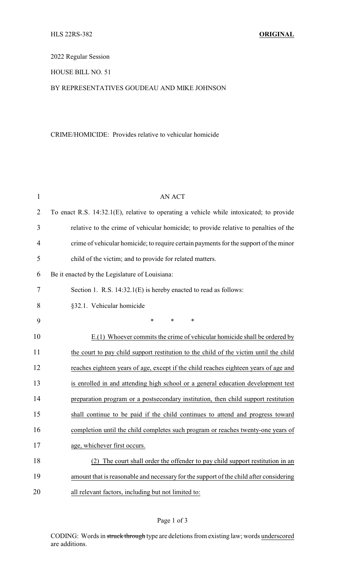2022 Regular Session

HOUSE BILL NO. 51

## BY REPRESENTATIVES GOUDEAU AND MIKE JOHNSON

## CRIME/HOMICIDE: Provides relative to vehicular homicide

| $\mathbf{1}$   | <b>AN ACT</b>                                                                           |
|----------------|-----------------------------------------------------------------------------------------|
| $\overline{2}$ | To enact R.S. 14:32.1(E), relative to operating a vehicle while intoxicated; to provide |
| 3              | relative to the crime of vehicular homicide; to provide relative to penalties of the    |
| 4              | crime of vehicular homicide; to require certain payments for the support of the minor   |
| 5              | child of the victim; and to provide for related matters.                                |
| 6              | Be it enacted by the Legislature of Louisiana:                                          |
| 7              | Section 1. R.S. 14:32.1(E) is hereby enacted to read as follows:                        |
| 8              | §32.1. Vehicular homicide                                                               |
| 9              | *<br>*<br>∗                                                                             |
| 10             | E.(1) Whoever commits the crime of vehicular homicide shall be ordered by               |
| 11             | the court to pay child support restitution to the child of the victim until the child   |
| 12             | reaches eighteen years of age, except if the child reaches eighteen years of age and    |
| 13             | is enrolled in and attending high school or a general education development test        |
| 14             | preparation program or a postsecondary institution, then child support restitution      |
| 15             | shall continue to be paid if the child continues to attend and progress toward          |
| 16             | completion until the child completes such program or reaches twenty-one years of        |
| 17             | age, whichever first occurs.                                                            |
| 18             | The court shall order the offender to pay child support restitution in an               |
| 19             | amount that is reasonable and necessary for the support of the child after considering  |
| 20             | all relevant factors, including but not limited to:                                     |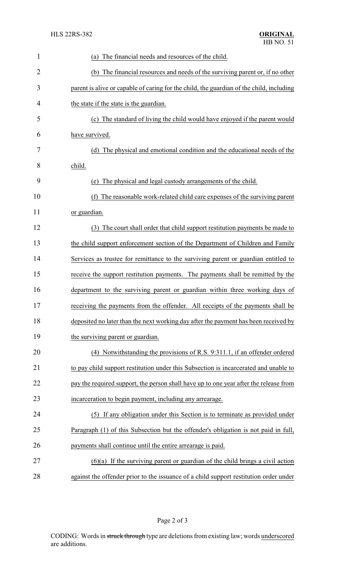| 1              | The financial needs and resources of the child.<br>(a)                                   |
|----------------|------------------------------------------------------------------------------------------|
| $\overline{2}$ | (b) The financial resources and needs of the surviving parent or, if no other            |
| 3              | parent is alive or capable of caring for the child, the guardian of the child, including |
| 4              | the state if the state is the guardian.                                                  |
| 5              | (c) The standard of living the child would have enjoyed if the parent would              |
| 6              | have survived.                                                                           |
| 7              | (d) The physical and emotional condition and the educational needs of the                |
| 8              | child.                                                                                   |
| 9              | The physical and legal custody arrangements of the child.<br>(e)                         |
| 10             | The reasonable work-related child care expenses of the surviving parent<br>(f)           |
| 11             | or guardian.                                                                             |
| 12             | The court shall order that child support restitution payments be made to<br>(3)          |
| 13             | the child support enforcement section of the Department of Children and Family           |
| 14             | Services as trustee for remittance to the surviving parent or guardian entitled to       |
| 15             | receive the support restitution payments. The payments shall be remitted by the          |
| 16             | department to the surviving parent or guardian within three working days of              |
| 17             | receiving the payments from the offender. All receipts of the payments shall be          |
| 18             | deposited no later than the next working day after the payment has been received by      |
| 19             | the surviving parent or guardian.                                                        |
| 20             | (4) Notwithstanding the provisions of R.S. 9:311.1, if an offender ordered               |
| 21             | to pay child support restitution under this Subsection is incarcerated and unable to     |
| 22             | pay the required support, the person shall have up to one year after the release from    |
| 23             | incarceration to begin payment, including any arrearage.                                 |
| 24             | (5) If any obligation under this Section is to terminate as provided under               |
| 25             | Paragraph (1) of this Subsection but the offender's obligation is not paid in full,      |
| 26             | payments shall continue until the entire arrearage is paid.                              |
| 27             | $(6)(a)$ If the surviving parent or guardian of the child brings a civil action          |
| 28             | against the offender prior to the issuance of a child support restitution order under    |